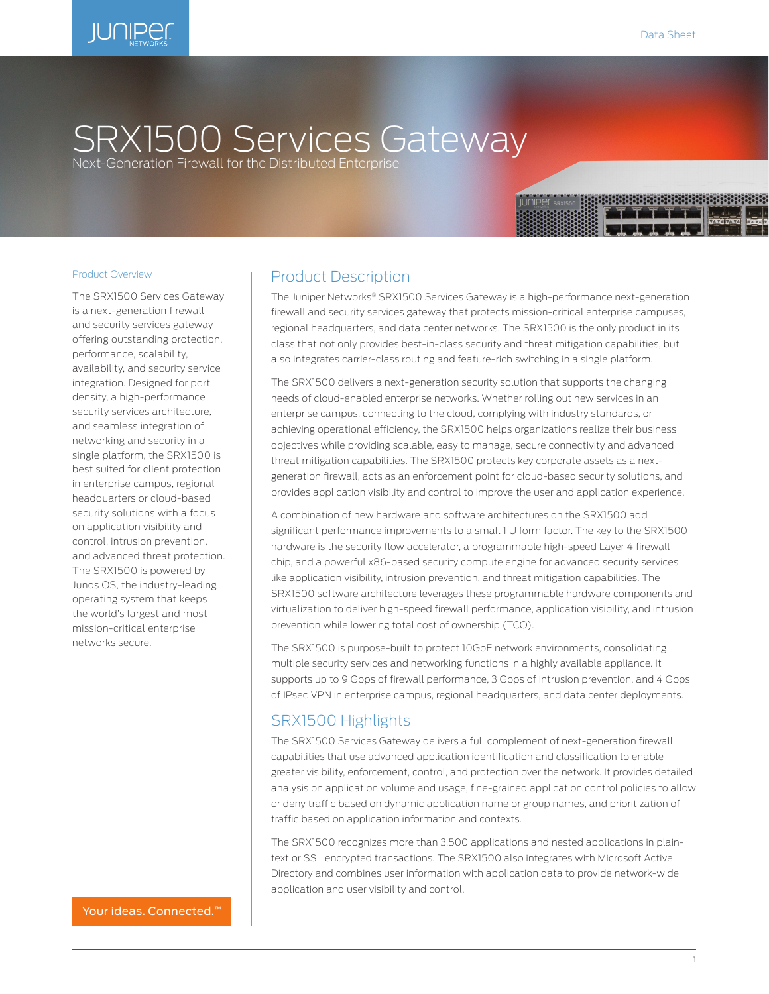

# SRX1500 Services Gateway

Next-Generation Firewall for the Distributed Enterprise

#### Product Overview

The SRX1500 Services Gateway is a next-generation firewall and security services gateway offering outstanding protection, performance, scalability, availability, and security service integration. Designed for port density, a high-performance security services architecture, and seamless integration of networking and security in a single platform, the SRX1500 is best suited for client protection in enterprise campus, regional headquarters or cloud-based security solutions with a focus on application visibility and control, intrusion prevention, and advanced threat protection. The SRX1500 is powered by Junos OS, the industry-leading operating system that keeps the world's largest and most mission-critical enterprise networks secure.

### Product Description

The Juniper Networks® SRX1500 Services Gateway is a high-performance next-generation firewall and security services gateway that protects mission-critical enterprise campuses, regional headquarters, and data center networks. The SRX1500 is the only product in its class that not only provides best-in-class security and threat mitigation capabilities, but also integrates carrier-class routing and feature-rich switching in a single platform.

The SRX1500 delivers a next-generation security solution that supports the changing needs of cloud-enabled enterprise networks. Whether rolling out new services in an enterprise campus, connecting to the cloud, complying with industry standards, or achieving operational efficiency, the SRX1500 helps organizations realize their business objectives while providing scalable, easy to manage, secure connectivity and advanced threat mitigation capabilities. The SRX1500 protects key corporate assets as a nextgeneration firewall, acts as an enforcement point for cloud-based security solutions, and provides application visibility and control to improve the user and application experience.

A combination of new hardware and software architectures on the SRX1500 add significant performance improvements to a small 1 U form factor. The key to the SRX1500 hardware is the security flow accelerator, a programmable high-speed Layer 4 firewall chip, and a powerful x86-based security compute engine for advanced security services like application visibility, intrusion prevention, and threat mitigation capabilities. The SRX1500 software architecture leverages these programmable hardware components and virtualization to deliver high-speed firewall performance, application visibility, and intrusion prevention while lowering total cost of ownership (TCO).

The SRX1500 is purpose-built to protect 10GbE network environments, consolidating multiple security services and networking functions in a highly available appliance. It supports up to 9 Gbps of firewall performance, 3 Gbps of intrusion prevention, and 4 Gbps of IPsec VPN in enterprise campus, regional headquarters, and data center deployments.

## SRX1500 Highlights

The SRX1500 Services Gateway delivers a full complement of next-generation firewall capabilities that use advanced application identification and classification to enable greater visibility, enforcement, control, and protection over the network. It provides detailed analysis on application volume and usage, fine-grained application control policies to allow or deny traffic based on dynamic application name or group names, and prioritization of traffic based on application information and contexts.

The SRX1500 recognizes more than 3,500 applications and nested applications in plaintext or SSL encrypted transactions. The SRX1500 also integrates with Microsoft Active Directory and combines user information with application data to provide network-wide application and user visibility and control.

Your ideas. Connected.<sup>™</sup>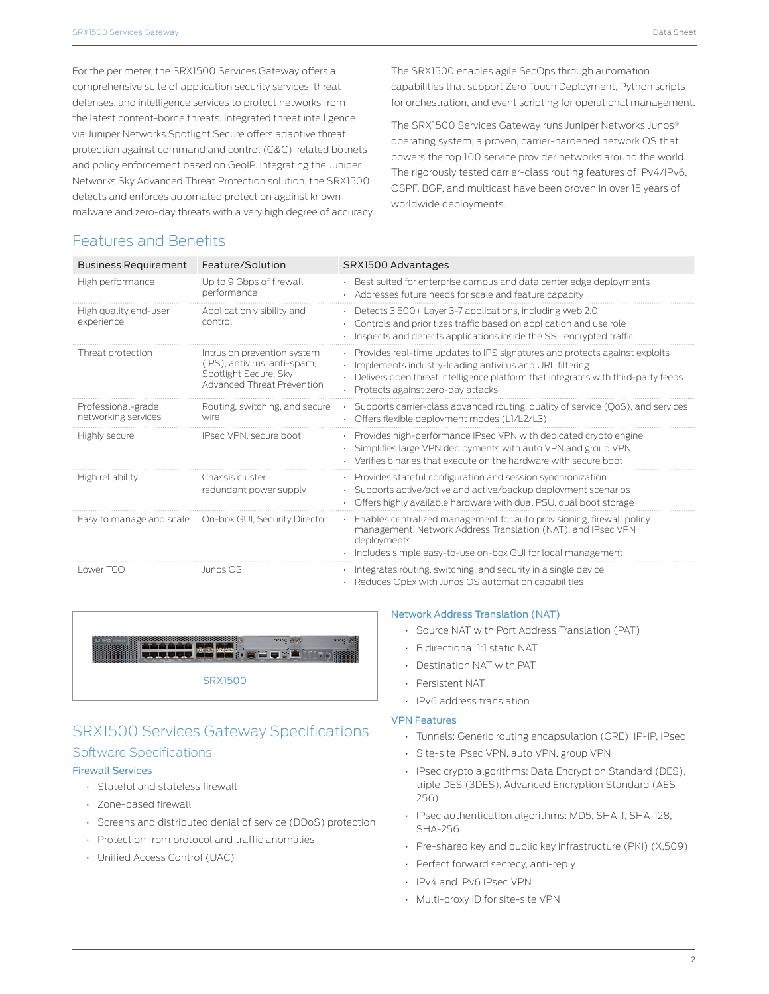For the perimeter, the SRX1500 Services Gateway offers a comprehensive suite of application security services, threat defenses, and intelligence services to protect networks from the latest content-borne threats. Integrated threat intelligence via Juniper Networks Spotlight Secure offers adaptive threat protection against command and control (C&C)-related botnets and policy enforcement based on GeoIP. Integrating the Juniper Networks Sky Advanced Threat Protection solution, the SRX1500 detects and enforces automated protection against known malware and zero-day threats with a very high degree of accuracy. The SRX1500 enables agile SecOps through automation capabilities that support Zero Touch Deployment, Python scripts for orchestration, and event scripting for operational management.

The SRX1500 Services Gateway runs Juniper Networks Junos® operating system, a proven, carrier-hardened network OS that powers the top 100 service provider networks around the world. The rigorously tested carrier-class routing features of IPv4/IPv6, OSPF, BGP, and multicast have been proven in over 15 years of worldwide deployments.

# Features and Benefits

| <b>Business Requirement</b>               | Feature/Solution                                                                                                          | SRX1500 Advantages                                                                                                                                                                                                                                                      |
|-------------------------------------------|---------------------------------------------------------------------------------------------------------------------------|-------------------------------------------------------------------------------------------------------------------------------------------------------------------------------------------------------------------------------------------------------------------------|
| High performance                          | Up to 9 Gbps of firewall<br>performance                                                                                   | . Best suited for enterprise campus and data center edge deployments<br>Addresses future needs for scale and feature capacity                                                                                                                                           |
| High quality end-user<br>experience       | Application visibility and<br>control                                                                                     | Detects 3,500 + Layer 3-7 applications, including Web 2.0<br>Controls and prioritizes traffic based on application and use role<br>Inspects and detects applications inside the SSL encrypted traffic                                                                   |
| Threat protection                         | Intrusion prevention system<br>(IPS), antivirus, anti-spam,<br>Spotlight Secure, Sky<br><b>Advanced Threat Prevention</b> | · Provides real-time updates to IPS signatures and protects against exploits<br>· Implements industry-leading antivirus and URL filtering<br>. Delivers open threat intelligence platform that integrates with third-party feeds<br>· Protects against zero-day attacks |
| Professional-grade<br>networking services | Routing, switching, and secure<br>wire                                                                                    | • Supports carrier-class advanced routing, quality of service (QoS), and services<br>· Offers flexible deployment modes (L1/L2/L3)                                                                                                                                      |
| Highly secure                             | IPsec VPN, secure boot                                                                                                    | • Provides high-performance IPsec VPN with dedicated crypto engine<br>· Simplifies large VPN deployments with auto VPN and group VPN<br>• Verifies binaries that execute on the hardware with secure boot                                                               |
| High reliability                          | Chassis cluster.<br>redundant power supply                                                                                | • Provides stateful configuration and session synchronization<br>· Supports active/active and active/backup deployment scenarios<br>• Offers highly available hardware with dual PSU, dual boot storage                                                                 |
| Easy to manage and scale                  | On-box GUI, Security Director                                                                                             | Enables centralized management for auto provisioning, firewall policy<br>management, Network Address Translation (NAT), and IPsec VPN<br>deployments<br>· Includes simple easy-to-use on-box GUI for local management                                                   |
| Lower TCO                                 | Junos OS                                                                                                                  | · Integrates routing, switching, and security in a single device<br>· Reduces OpEx with Junos OS automation capabilities                                                                                                                                                |



# SRX1500 Services Gateway Specifications Software Specifications

#### Firewall Services

- Stateful and stateless firewall
- Zone-based firewall
- Screens and distributed denial of service (DDoS) protection
- Protection from protocol and traffic anomalies
- Unified Access Control (UAC)

#### Network Address Translation (NAT)

- Source NAT with Port Address Translation (PAT)
- Bidirectional 1:1 static NAT
- Destination NAT with PAT
- Persistent NAT
- IPv6 address translation

#### VPN Features

- Tunnels: Generic routing encapsulation (GRE), IP-IP, IPsec
- Site-site IPsec VPN, auto VPN, group VPN
- IPsec crypto algorithms: Data Encryption Standard (DES), triple DES (3DES), Advanced Encryption Standard (AES-256)
- IPsec authentication algorithms: MD5, SHA-1, SHA-128, SHA-256
- Pre-shared key and public key infrastructure (PKI) (X.509)
- Perfect forward secrecy, anti-reply
- IPv4 and IPv6 IPsec VPN
- Multi-proxy ID for site-site VPN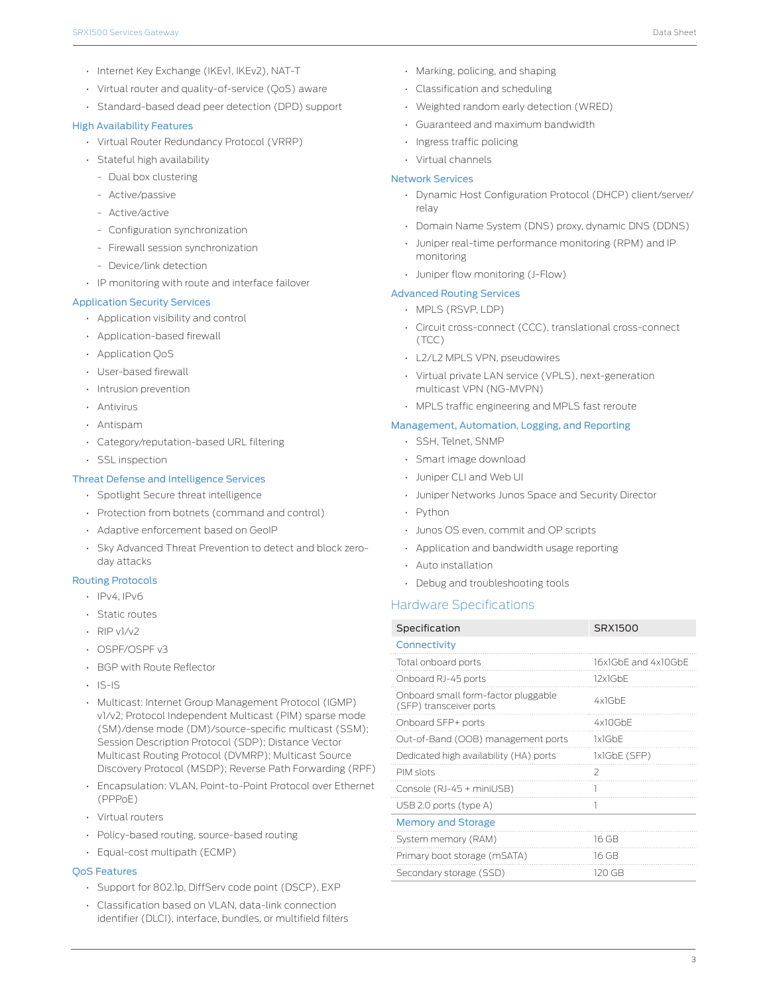- Internet Key Exchange (IKEv1, IKEv2), NAT-T
- Virtual router and quality-of-service (QoS) aware
- Standard-based dead peer detection (DPD) support

#### High Availability Features

- Virtual Router Redundancy Protocol (VRRP)
- Stateful high availability
	- Dual box clustering
	- Active/passive
	- Active/active
	- Configuration synchronization
- Firewall session synchronization
- Device/link detection
- IP monitoring with route and interface failover

#### Application Security Services

- Application visibility and control
- Application-based firewall
- Application QoS
- User-based firewall
- Intrusion prevention
- Antivirus
- Antispam
- Category/reputation-based URL filtering
- SSL inspection

#### Threat Defense and Intelligence Services

- Spotlight Secure threat intelligence
- Protection from botnets (command and control)
- Adaptive enforcement based on GeoIP
- Sky Advanced Threat Prevention to detect and block zeroday attacks

#### Routing Protocols

- IPv4, IPv6
- Static routes
- $\cdot$  RIP v1/v2
- OSPF/OSPF v3
- BGP with Route Reflector
- IS-IS
- Multicast: Internet Group Management Protocol (IGMP) v1/v2; Protocol Independent Multicast (PIM) sparse mode (SM)/dense mode (DM)/source-specific multicast (SSM); Session Description Protocol (SDP); Distance Vector Multicast Routing Protocol (DVMRP); Multicast Source Discovery Protocol (MSDP); Reverse Path Forwarding (RPF)
- Encapsulation: VLAN, Point-to-Point Protocol over Ethernet (PPPoE)
- Virtual routers
- Policy-based routing, source-based routing
- Equal-cost multipath (ECMP)

#### QoS Features

- Support for 802.1p, DiffServ code point (DSCP), EXP
- Classification based on VLAN, data-link connection identifier (DLCI), interface, bundles, or multifield filters
- Marking, policing, and shaping
- Classification and scheduling
- Weighted random early detection (WRED)
- Guaranteed and maximum bandwidth
- Ingress traffic policing
- Virtual channels

#### Network Services

- Dynamic Host Configuration Protocol (DHCP) client/server/ relay
- Domain Name System (DNS) proxy, dynamic DNS (DDNS)
- Juniper real-time performance monitoring (RPM) and IP monitoring
- Juniper flow monitoring (J-Flow)

#### Advanced Routing Services

- MPLS (RSVP, LDP)
- Circuit cross-connect (CCC), translational cross-connect (TCC)
- L2/L2 MPLS VPN, pseudowires
- Virtual private LAN service (VPLS), next-generation multicast VPN (NG-MVPN)
- MPLS traffic engineering and MPLS fast reroute

#### Management, Automation, Logging, and Reporting

- SSH, Telnet, SNMP
- Smart image download
- Juniper CLI and Web UI
- Juniper Networks Junos Space and Security Director
- Python
- Junos OS even, commit and OP scripts
- Application and bandwidth usage reporting
- Auto installation
- Debug and troubleshooting tools

#### Hardware Specifications

| Specification                                                  | SRX1500             |
|----------------------------------------------------------------|---------------------|
| Connectivity                                                   |                     |
| Total onboard ports                                            | 16x1GbF and 4x10GbF |
| Onboard RJ-45 ports                                            | 12x1GhF             |
| Onboard small form-factor pluggable<br>(SFP) transceiver ports | $4x$ lGhF           |
| Onboard SFP+ ports                                             | 4x10GbF             |
| Out-of-Band (OOB) management ports                             | 1x1GbF              |
| Dedicated high availability (HA) ports                         | 1x1GbE (SFP)        |
| PIM slots                                                      | $\mathcal{L}$       |
| Console (RJ-45 + miniUSB)                                      |                     |
| USB 2.0 ports (type A)                                         | 1                   |
| <b>Memory and Storage</b>                                      |                     |
| System memory (RAM)                                            | 16 GB               |
| Primary boot storage (mSATA)                                   | 16 GB               |
| Secondary storage (SSD)                                        | 120 GB              |